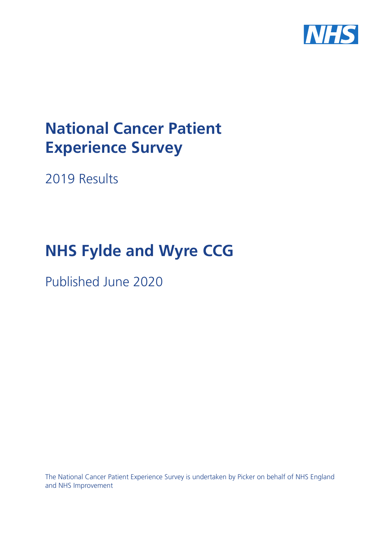

# **National Cancer Patient Experience Survey**

2019 Results

# **NHS Fylde and Wyre CCG**

Published June 2020

The National Cancer Patient Experience Survey is undertaken by Picker on behalf of NHS England and NHS Improvement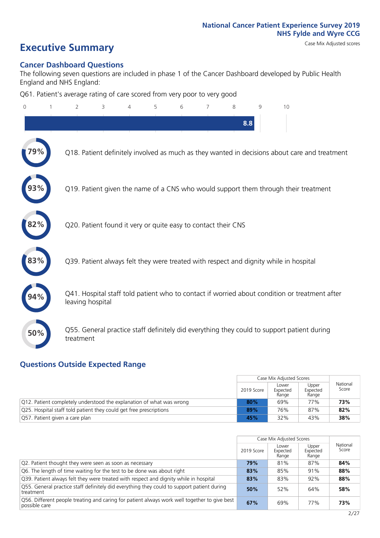# **Executive Summary** Case Mix Adjusted scores

#### **Cancer Dashboard Questions**

The following seven questions are included in phase 1 of the Cancer Dashboard developed by Public Health England and NHS England:

Q61. Patient's average rating of care scored from very poor to very good

| $\Omega$ | 2                                                             | 3 | 5 | 6 | 7 | 8   | q | 10                                                                                            |
|----------|---------------------------------------------------------------|---|---|---|---|-----|---|-----------------------------------------------------------------------------------------------|
|          |                                                               |   |   |   |   | 8.8 |   |                                                                                               |
|          |                                                               |   |   |   |   |     |   | Q18. Patient definitely involved as much as they wanted in decisions about care and treatment |
|          |                                                               |   |   |   |   |     |   | Q19. Patient given the name of a CNS who would support them through their treatment           |
|          | Q20. Patient found it very or quite easy to contact their CNS |   |   |   |   |     |   |                                                                                               |
|          |                                                               |   |   |   |   |     |   | Q39. Patient always felt they were treated with respect and dignity while in hospital         |
|          | leaving hospital                                              |   |   |   |   |     |   | Q41. Hospital staff told patient who to contact if worried about condition or treatment after |
| 50%      | treatment                                                     |   |   |   |   |     |   | Q55. General practice staff definitely did everything they could to support patient during    |
|          |                                                               |   |   |   |   |     |   |                                                                                               |

#### **Questions Outside Expected Range**

|                                                                      |            | Case Mix Adjusted Scores   |                            |                   |
|----------------------------------------------------------------------|------------|----------------------------|----------------------------|-------------------|
|                                                                      | 2019 Score | Lower<br>Expected<br>Range | Upper<br>Expected<br>Range | National<br>Score |
| Q12. Patient completely understood the explanation of what was wrong | 80%        | 69%                        | 77%                        | 73%               |
| Q25. Hospital staff told patient they could get free prescriptions   | 89%        | 76%                        | 87%                        | 82%               |
| Q57. Patient given a care plan                                       | 45%        | 32%                        | 43%                        | 38%               |

|                                                                                                               |            | Case Mix Adjusted Scores   |                            |                   |
|---------------------------------------------------------------------------------------------------------------|------------|----------------------------|----------------------------|-------------------|
|                                                                                                               | 2019 Score | Lower<br>Expected<br>Range | Upper<br>Expected<br>Range | National<br>Score |
| Q2. Patient thought they were seen as soon as necessary                                                       | 79%        | 81%                        | 87%                        | 84%               |
| Q6. The length of time waiting for the test to be done was about right                                        | 83%        | 85%                        | 91%                        | 88%               |
| Q39. Patient always felt they were treated with respect and dignity while in hospital                         | 83%        | 83%                        | 92%                        | 88%               |
| Q55. General practice staff definitely did everything they could to support patient during<br>treatment       | 50%        | 52%                        | 64%                        | 58%               |
| Q56. Different people treating and caring for patient always work well together to give best<br>possible care | 67%        | 69%                        | 77%                        | 73%               |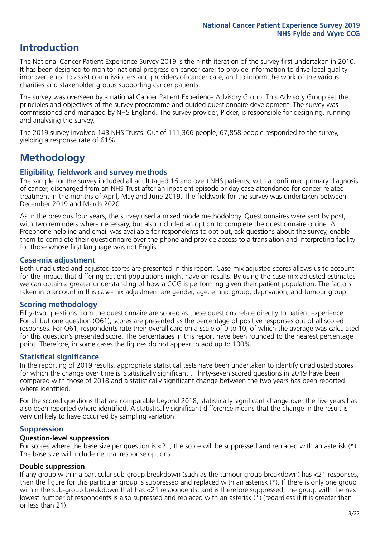# **Introduction**

The National Cancer Patient Experience Survey 2019 is the ninth iteration of the survey first undertaken in 2010. It has been designed to monitor national progress on cancer care; to provide information to drive local quality improvements; to assist commissioners and providers of cancer care; and to inform the work of the various charities and stakeholder groups supporting cancer patients.

The survey was overseen by a national Cancer Patient Experience Advisory Group. This Advisory Group set the principles and objectives of the survey programme and guided questionnaire development. The survey was commissioned and managed by NHS England. The survey provider, Picker, is responsible for designing, running and analysing the survey.

The 2019 survey involved 143 NHS Trusts. Out of 111,366 people, 67,858 people responded to the survey, yielding a response rate of 61%.

# **Methodology**

#### **Eligibility, eldwork and survey methods**

The sample for the survey included all adult (aged 16 and over) NHS patients, with a confirmed primary diagnosis of cancer, discharged from an NHS Trust after an inpatient episode or day case attendance for cancer related treatment in the months of April, May and June 2019. The fieldwork for the survey was undertaken between December 2019 and March 2020.

As in the previous four years, the survey used a mixed mode methodology. Questionnaires were sent by post, with two reminders where necessary, but also included an option to complete the questionnaire online. A Freephone helpline and email was available for respondents to opt out, ask questions about the survey, enable them to complete their questionnaire over the phone and provide access to a translation and interpreting facility for those whose first language was not English.

#### **Case-mix adjustment**

Both unadjusted and adjusted scores are presented in this report. Case-mix adjusted scores allows us to account for the impact that differing patient populations might have on results. By using the case-mix adjusted estimates we can obtain a greater understanding of how a CCG is performing given their patient population. The factors taken into account in this case-mix adjustment are gender, age, ethnic group, deprivation, and tumour group.

#### **Scoring methodology**

Fifty-two questions from the questionnaire are scored as these questions relate directly to patient experience. For all but one question (Q61), scores are presented as the percentage of positive responses out of all scored responses. For Q61, respondents rate their overall care on a scale of 0 to 10, of which the average was calculated for this question's presented score. The percentages in this report have been rounded to the nearest percentage point. Therefore, in some cases the figures do not appear to add up to 100%.

#### **Statistical significance**

In the reporting of 2019 results, appropriate statistical tests have been undertaken to identify unadjusted scores for which the change over time is 'statistically significant'. Thirty-seven scored questions in 2019 have been compared with those of 2018 and a statistically significant change between the two years has been reported where identified.

For the scored questions that are comparable beyond 2018, statistically significant change over the five years has also been reported where identified. A statistically significant difference means that the change in the result is very unlikely to have occurred by sampling variation.

#### **Suppression**

#### **Question-level suppression**

For scores where the base size per question is  $<$ 21, the score will be suppressed and replaced with an asterisk (\*). The base size will include neutral response options.

#### **Double suppression**

If any group within a particular sub-group breakdown (such as the tumour group breakdown) has <21 responses, then the figure for this particular group is suppressed and replaced with an asterisk (\*). If there is only one group within the sub-group breakdown that has <21 respondents, and is therefore suppressed, the group with the next lowest number of respondents is also supressed and replaced with an asterisk (\*) (regardless if it is greater than or less than 21).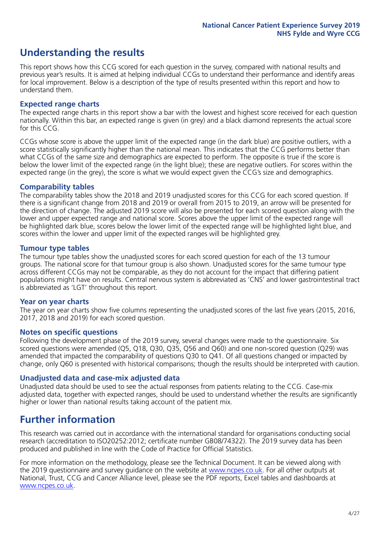# **Understanding the results**

This report shows how this CCG scored for each question in the survey, compared with national results and previous year's results. It is aimed at helping individual CCGs to understand their performance and identify areas for local improvement. Below is a description of the type of results presented within this report and how to understand them.

#### **Expected range charts**

The expected range charts in this report show a bar with the lowest and highest score received for each question nationally. Within this bar, an expected range is given (in grey) and a black diamond represents the actual score for this CCG.

CCGs whose score is above the upper limit of the expected range (in the dark blue) are positive outliers, with a score statistically significantly higher than the national mean. This indicates that the CCG performs better than what CCGs of the same size and demographics are expected to perform. The opposite is true if the score is below the lower limit of the expected range (in the light blue); these are negative outliers. For scores within the expected range (in the grey), the score is what we would expect given the CCG's size and demographics.

#### **Comparability tables**

The comparability tables show the 2018 and 2019 unadjusted scores for this CCG for each scored question. If there is a significant change from 2018 and 2019 or overall from 2015 to 2019, an arrow will be presented for the direction of change. The adjusted 2019 score will also be presented for each scored question along with the lower and upper expected range and national score. Scores above the upper limit of the expected range will be highlighted dark blue, scores below the lower limit of the expected range will be highlighted light blue, and scores within the lower and upper limit of the expected ranges will be highlighted grey.

#### **Tumour type tables**

The tumour type tables show the unadjusted scores for each scored question for each of the 13 tumour groups. The national score for that tumour group is also shown. Unadjusted scores for the same tumour type across different CCGs may not be comparable, as they do not account for the impact that differing patient populations might have on results. Central nervous system is abbreviated as 'CNS' and lower gastrointestinal tract is abbreviated as 'LGT' throughout this report.

#### **Year on year charts**

The year on year charts show five columns representing the unadjusted scores of the last five years (2015, 2016, 2017, 2018 and 2019) for each scored question.

#### **Notes on specific questions**

Following the development phase of the 2019 survey, several changes were made to the questionnaire. Six scored questions were amended (Q5, Q18, Q30, Q35, Q56 and Q60) and one non-scored question (Q29) was amended that impacted the comparability of questions Q30 to Q41. Of all questions changed or impacted by change, only Q60 is presented with historical comparisons; though the results should be interpreted with caution.

#### **Unadjusted data and case-mix adjusted data**

Unadjusted data should be used to see the actual responses from patients relating to the CCG. Case-mix adjusted data, together with expected ranges, should be used to understand whether the results are significantly higher or lower than national results taking account of the patient mix.

### **Further information**

This research was carried out in accordance with the international standard for organisations conducting social research (accreditation to ISO20252:2012; certificate number GB08/74322). The 2019 survey data has been produced and published in line with the Code of Practice for Official Statistics.

For more information on the methodology, please see the Technical Document. It can be viewed along with the 2019 questionnaire and survey quidance on the website at [www.ncpes.co.uk](https://www.ncpes.co.uk/supporting-documents). For all other outputs at National, Trust, CCG and Cancer Alliance level, please see the PDF reports, Excel tables and dashboards at [www.ncpes.co.uk.](https://www.ncpes.co.uk/current-results)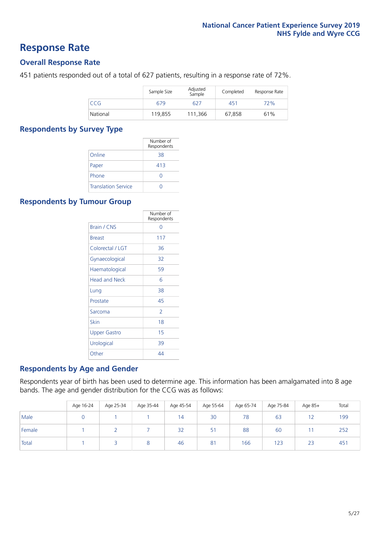### **Response Rate**

#### **Overall Response Rate**

451 patients responded out of a total of 627 patients, resulting in a response rate of 72%.

|            | Sample Size | Adjusted<br>Sample | Completed | Response Rate |
|------------|-------------|--------------------|-----------|---------------|
| <b>CCG</b> | 679         | 627                | 451       | 72%           |
| National   | 119,855     | 111.366            | 67,858    | 61%           |

#### **Respondents by Survey Type**

|                            | Number of<br>Respondents |
|----------------------------|--------------------------|
| Online                     | 38                       |
| Paper                      | 413                      |
| Phone                      |                          |
| <b>Translation Service</b> |                          |

#### **Respondents by Tumour Group**

|                      | Number of<br>Respondents |
|----------------------|--------------------------|
| <b>Brain / CNS</b>   | ∩                        |
| <b>Breast</b>        | 117                      |
| Colorectal / LGT     | 36                       |
| Gynaecological       | 32                       |
| Haematological       | 59                       |
| <b>Head and Neck</b> | 6                        |
| Lung                 | 38                       |
| Prostate             | 45                       |
| Sarcoma              | $\mathcal{P}$            |
| Skin                 | 18                       |
| Upper Gastro         | 15                       |
| Urological           | 39                       |
| Other                | 44                       |

#### **Respondents by Age and Gender**

Respondents year of birth has been used to determine age. This information has been amalgamated into 8 age bands. The age and gender distribution for the CCG was as follows:

|        | Age 16-24 | Age 25-34 | Age 35-44 | Age 45-54 | Age 55-64 | Age 65-74 | Age 75-84 | Age 85+ | Total |
|--------|-----------|-----------|-----------|-----------|-----------|-----------|-----------|---------|-------|
| Male   |           |           |           | 14        | 30        | 78        | 63        |         | 199   |
| Female |           |           |           | 32        | 51        | 88        | 60        |         | 252   |
| Total  |           |           |           | 46        | 81        | 166       | 123       | 23      | 451   |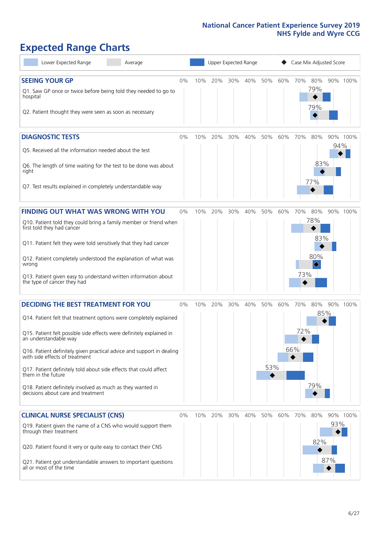# **Expected Range Charts**

| Lower Expected Range<br>Average                                                                                                        |    |     | Upper Expected Range |     |     |     |     |     | Case Mix Adjusted Score         |     |          |
|----------------------------------------------------------------------------------------------------------------------------------------|----|-----|----------------------|-----|-----|-----|-----|-----|---------------------------------|-----|----------|
| <b>SEEING YOUR GP</b>                                                                                                                  | 0% | 10% | 20%                  | 30% | 40% | 50% | 60% | 70% | 80%                             |     | 90% 100% |
| Q1. Saw GP once or twice before being told they needed to go to<br>hospital<br>Q2. Patient thought they were seen as soon as necessary |    |     |                      |     |     |     |     |     | 79%<br>79%                      |     |          |
| <b>DIAGNOSTIC TESTS</b>                                                                                                                | 0% | 10% | 20%                  | 30% | 40% | 50% | 60% | 70% | 80%                             |     | 90% 100% |
| Q5. Received all the information needed about the test                                                                                 |    |     |                      |     |     |     |     |     |                                 | 94% |          |
| Q6. The length of time waiting for the test to be done was about<br>right                                                              |    |     |                      |     |     |     |     |     | 83%<br>77%                      |     |          |
| Q7. Test results explained in completely understandable way                                                                            |    |     |                      |     |     |     |     |     |                                 |     |          |
| <b>FINDING OUT WHAT WAS WRONG WITH YOU</b>                                                                                             | 0% | 10% | 20%                  | 30% | 40% | 50% | 60% | 70% | 80%                             |     | 90% 100% |
| Q10. Patient told they could bring a family member or friend when<br>first told they had cancer                                        |    |     |                      |     |     |     |     |     | 78%                             |     |          |
| Q11. Patient felt they were told sensitively that they had cancer                                                                      |    |     |                      |     |     |     |     |     | 83%                             |     |          |
| Q12. Patient completely understood the explanation of what was<br>wrong                                                                |    |     |                      |     |     |     |     |     | 80%<br>$\color{black} \diamond$ |     |          |
| Q13. Patient given easy to understand written information about<br>the type of cancer they had                                         |    |     |                      |     |     |     |     | 73% |                                 |     |          |
| <b>DECIDING THE BEST TREATMENT FOR YOU</b>                                                                                             | 0% | 10% | 20%                  | 30% | 40% | 50% | 60% | 70% | 80%                             |     | 90% 100% |
| Q14. Patient felt that treatment options were completely explained                                                                     |    |     |                      |     |     |     |     |     |                                 | 85% |          |
| Q15. Patient felt possible side effects were definitely explained in<br>an understandable way                                          |    |     |                      |     |     |     |     | 72% |                                 |     |          |
| Q16. Patient definitely given practical advice and support in dealing<br>with side effects of treatment                                |    |     |                      |     |     |     |     | 66% |                                 |     |          |
| Q17. Patient definitely told about side effects that could affect<br>them in the future                                                |    |     |                      |     |     | 53% |     |     |                                 |     |          |
| Q18. Patient definitely involved as much as they wanted in<br>decisions about care and treatment                                       |    |     |                      |     |     |     |     |     | 79%                             |     |          |
| <b>CLINICAL NURSE SPECIALIST (CNS)</b>                                                                                                 | 0% | 10% | 20%                  | 30% | 40% | 50% | 60% | 70% | 80%                             |     | 90% 100% |
| Q19. Patient given the name of a CNS who would support them<br>through their treatment                                                 |    |     |                      |     |     |     |     |     |                                 | 93% |          |
| Q20. Patient found it very or quite easy to contact their CNS                                                                          |    |     |                      |     |     |     |     |     | 82%                             |     |          |
| Q21. Patient got understandable answers to important questions<br>all or most of the time                                              |    |     |                      |     |     |     |     |     |                                 | 87% |          |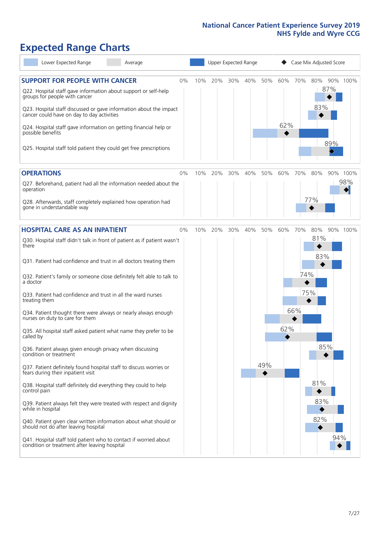# **Expected Range Charts**

| Lower Expected Range<br>Average                                                                                                                                                                                 |    |     |     |     | Upper Expected Range |     |     |     | Case Mix Adjusted Score |          |
|-----------------------------------------------------------------------------------------------------------------------------------------------------------------------------------------------------------------|----|-----|-----|-----|----------------------|-----|-----|-----|-------------------------|----------|
| <b>SUPPORT FOR PEOPLE WITH CANCER</b><br>Q22. Hospital staff gave information about support or self-help<br>groups for people with cancer<br>Q23. Hospital staff discussed or gave information about the impact | 0% | 10% | 20% | 30% | 40%                  | 50% | 60% | 70% | 80%<br>87%<br>83%       | 90% 100% |
| cancer could have on day to day activities<br>Q24. Hospital staff gave information on getting financial help or<br>possible benefits<br>Q25. Hospital staff told patient they could get free prescriptions      |    |     |     |     |                      |     | 62% |     | 89%                     |          |
| <b>OPERATIONS</b>                                                                                                                                                                                               | 0% | 10% | 20% | 30% | 40%                  | 50% | 60% | 70% | 80%                     | 90% 100% |
| Q27. Beforehand, patient had all the information needed about the<br>operation                                                                                                                                  |    |     |     |     |                      |     |     |     |                         | 98%      |
| Q28. Afterwards, staff completely explained how operation had<br>gone in understandable way                                                                                                                     |    |     |     |     |                      |     |     |     | 77%                     |          |
| <b>HOSPITAL CARE AS AN INPATIENT</b>                                                                                                                                                                            | 0% | 10% | 20% | 30% | 40%                  | 50% | 60% | 70% | 80%                     | 90% 100% |
| Q30. Hospital staff didn't talk in front of patient as if patient wasn't<br>there                                                                                                                               |    |     |     |     |                      |     |     |     | 81%                     |          |
| Q31. Patient had confidence and trust in all doctors treating them                                                                                                                                              |    |     |     |     |                      |     |     |     | 83%                     |          |
| Q32. Patient's family or someone close definitely felt able to talk to<br>a doctor                                                                                                                              |    |     |     |     |                      |     |     | 74% |                         |          |
| Q33. Patient had confidence and trust in all the ward nurses<br>treating them                                                                                                                                   |    |     |     |     |                      |     |     |     | 75%                     |          |
| Q34. Patient thought there were always or nearly always enough<br>nurses on duty to care for them                                                                                                               |    |     |     |     |                      |     |     | 66% |                         |          |
| Q35. All hospital staff asked patient what name they prefer to be<br>called by                                                                                                                                  |    |     |     |     |                      |     | 62% |     |                         |          |
| Q36. Patient always given enough privacy when discussing<br>condition or treatment                                                                                                                              |    |     |     |     |                      |     |     |     | 85%                     |          |
| Q37. Patient definitely found hospital staff to discuss worries or<br>fears during their inpatient visit                                                                                                        |    |     |     |     |                      | 49% |     |     |                         |          |
| Q38. Hospital staff definitely did everything they could to help<br>control pain                                                                                                                                |    |     |     |     |                      |     |     |     | 81%                     |          |
| Q39. Patient always felt they were treated with respect and dignity<br>while in hospital                                                                                                                        |    |     |     |     |                      |     |     |     | 83%                     |          |
| Q40. Patient given clear written information about what should or<br>should not do after leaving hospital                                                                                                       |    |     |     |     |                      |     |     |     | 82%                     |          |
| Q41. Hospital staff told patient who to contact if worried about<br>condition or treatment after leaving hospital                                                                                               |    |     |     |     |                      |     |     |     |                         | 94%      |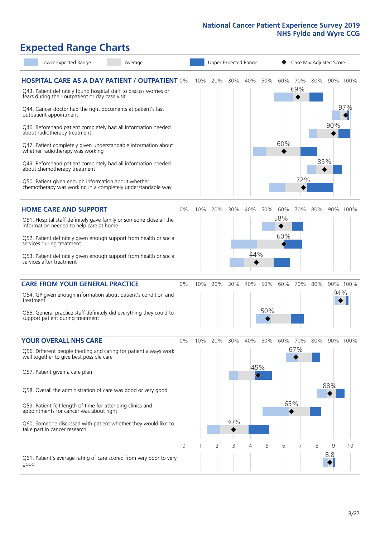# **Expected Range Charts**

| Lower Expected Range                                                                                                                                                                                                                                                                                                                                                                                                                                                                                                                                                                                                                                                                                   | Average |            |     |          |                 | Upper Expected Range                     |            |                   | Case Mix Adjusted Score |            |          |                 |
|--------------------------------------------------------------------------------------------------------------------------------------------------------------------------------------------------------------------------------------------------------------------------------------------------------------------------------------------------------------------------------------------------------------------------------------------------------------------------------------------------------------------------------------------------------------------------------------------------------------------------------------------------------------------------------------------------------|---------|------------|-----|----------|-----------------|------------------------------------------|------------|-------------------|-------------------------|------------|----------|-----------------|
| <b>HOSPITAL CARE AS A DAY PATIENT / OUTPATIENT 0%</b><br>Q43. Patient definitely found hospital staff to discuss worries or<br>fears during their outpatient or day case visit<br>Q44. Cancer doctor had the right documents at patient's last<br>outpatient appointment<br>Q46. Beforehand patient completely had all information needed<br>about radiotherapy treatment<br>Q47. Patient completely given understandable information about<br>whether radiotherapy was working<br>Q49. Beforehand patient completely had all information needed<br>about chemotherapy treatment<br>Q50. Patient given enough information about whether<br>chemotherapy was working in a completely understandable way |         |            | 10% | 20%      | 30%             | 40%                                      | 50%        | 60%<br>60%        | 70%<br>69%<br>72%       | 80%<br>85% | 90%      | 90% 100%<br>97% |
| <b>HOME CARE AND SUPPORT</b><br>Q51. Hospital staff definitely gave family or someone close all the<br>information needed to help care at home<br>Q52. Patient definitely given enough support from health or social<br>services during treatment<br>Q53. Patient definitely given enough support from health or social<br>services after treatment                                                                                                                                                                                                                                                                                                                                                    |         | 0%         | 10% | 20%      | 30%             | 40%<br>44%                               | 50%        | 60%<br>58%<br>60% | 70%                     | 80%        |          | 90% 100%        |
| <b>CARE FROM YOUR GENERAL PRACTICE</b><br>Q54. GP given enough information about patient's condition and<br>treatment<br>Q55. General practice staff definitely did everything they could to<br>support patient during treatment                                                                                                                                                                                                                                                                                                                                                                                                                                                                       |         | 0%         |     | 10% 20%  | 30%             | 40%                                      | 50%<br>50% | 60%               | 70%                     | 80%        | 94%      | 90% 100%        |
| <b>YOUR OVERALL NHS CARE</b><br>Q56. Different people treating and caring for patient always work<br>well together to give best possible care<br>Q57. Patient given a care plan<br>Q58. Overall the administration of care was good or very good<br>Q59. Patient felt length of time for attending clinics and<br>appointments for cancer was about right<br>Q60. Someone discussed with patient whether they would like to<br>take part in cancer research                                                                                                                                                                                                                                            |         | $0\%$<br>0 | 10% | 20%<br>2 | 30%<br>30%<br>3 | 40%<br>45%<br>$\hat{\blacklozenge}$<br>4 | 50%<br>5   | 60%<br>6          | 70%<br>67%<br>65%<br>◆  | 80%<br>8   | 88%<br>9 | 90% 100%<br>10  |
| Q61. Patient's average rating of care scored from very poor to very<br>good                                                                                                                                                                                                                                                                                                                                                                                                                                                                                                                                                                                                                            |         |            |     |          |                 |                                          |            |                   |                         |            | 8.8      |                 |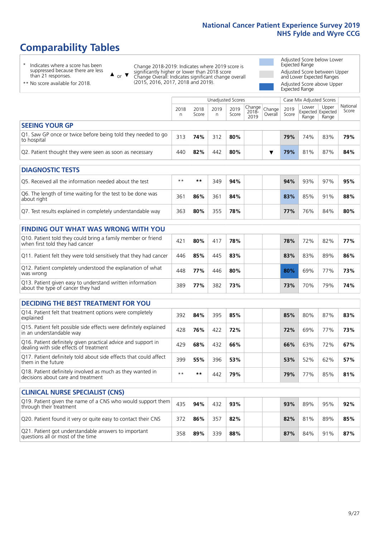# **Comparability Tables**

\* Indicates where a score has been suppressed because there are less than 21 responses.

\*\* No score available for 2018.

 $\triangle$  or  $\nabla$ 

Change 2018-2019: Indicates where 2019 score is significantly higher or lower than 2018 score Change Overall: Indicates significant change overall (2015, 2016, 2017, 2018 and 2019).

Adjusted Score below Lower Expected Range Adjusted Score between Upper and Lower Expected Ranges Adjusted Score above Upper Expected Range

|                                                                             |           |               | Unadjusted Scores |               |                                                  |         |               | Case Mix Adjusted Scores            |                |                   |
|-----------------------------------------------------------------------------|-----------|---------------|-------------------|---------------|--------------------------------------------------|---------|---------------|-------------------------------------|----------------|-------------------|
|                                                                             | 2018<br>n | 2018<br>Score | 2019<br>n         | 2019<br>Score | $\sqrt{(\text{Change})}$ Change<br>2018-<br>2019 | Overall | 2019<br>Score | Lower<br>Expected Expected<br>Range | Upper<br>Range | National<br>Score |
| <b>SEEING YOUR GP</b>                                                       |           |               |                   |               |                                                  |         |               |                                     |                |                   |
| Q1. Saw GP once or twice before being told they needed to go<br>to hospital | 313       | 74%           | 312               | 80%           |                                                  |         | 79%           | 74%                                 | 83%            | 79%               |
| Q2. Patient thought they were seen as soon as necessary                     | 440       | 82%           | 442               | 80%           |                                                  |         | 79%           | 81%                                 | 87%            | 84%               |
| <b>DIAGNOSTIC TESTS</b>                                                     |           |               |                   |               |                                                  |         |               |                                     |                |                   |

| O5. Received all the information needed about the test                    | $***$ | **  | 349 | 94% |  | 94% | 93% | 97% | 95% |
|---------------------------------------------------------------------------|-------|-----|-----|-----|--|-----|-----|-----|-----|
| Q6. The length of time waiting for the test to be done was<br>about right | 36′   | 86% | 361 | 84% |  | 83% | 85% | 91% | 88% |
| Q7. Test results explained in completely understandable way               | 363   | 80% | 355 | 78% |  | 77% | 76% | 84% | 80% |

|                                 | <b>FINDING OUT WHAT WAS WRONG WITH YOU</b>                        |     |     |     |     |     |     |     |     |
|---------------------------------|-------------------------------------------------------------------|-----|-----|-----|-----|-----|-----|-----|-----|
| when first told they had cancer | Q10. Patient told they could bring a family member or friend      | 421 | 80% | 417 | 78% | 78% | 72% | 82% | 77% |
|                                 | Q11. Patient felt they were told sensitively that they had cancer | 446 | 85% | 445 | 83% | 83% | 83% | 89% | 86% |

| Q. . and   , were told behavely that they had cancer                                           |     |     |     | .   |  | ---- |     |     | .     |
|------------------------------------------------------------------------------------------------|-----|-----|-----|-----|--|------|-----|-----|-------|
| Q12. Patient completely understood the explanation of what<br>was wrong                        | 448 | 77% | 446 | 80% |  | 80%  | 69% | 77% | - 73% |
| Q13. Patient given easy to understand written information<br>about the type of cancer they had | 389 | 77% | 382 | 73% |  | 73%  | 70% | 79% | 74%   |

|  |  | <b>DECIDING THE BEST TREATMENT FOR YOU</b> |  |
|--|--|--------------------------------------------|--|
|--|--|--------------------------------------------|--|

| Q14. Patient felt that treatment options were completely<br>explained                                   | 392  | 84% | 395 | 85% | 85% | 80% | 87% | 83% |
|---------------------------------------------------------------------------------------------------------|------|-----|-----|-----|-----|-----|-----|-----|
| Q15. Patient felt possible side effects were definitely explained<br>in an understandable way           | 428  | 76% | 422 | 72% | 72% | 69% | 77% | 73% |
| Q16. Patient definitely given practical advice and support in<br>dealing with side effects of treatment | 429  | 68% | 432 | 66% | 66% | 63% | 72% | 67% |
| Q17. Patient definitely told about side effects that could affect<br>them in the future                 | 399  | 55% | 396 | 53% | 53% | 52% | 62% | 57% |
| Q18. Patient definitely involved as much as they wanted in<br>decisions about care and treatment        | $**$ | **  | 442 | 79% | 79% | 77% | 85% | 81% |

| <b>CLINICAL NURSE SPECIALIST (CNS)</b>                                                    |     |     |     |     |  |     |     |     |     |
|-------------------------------------------------------------------------------------------|-----|-----|-----|-----|--|-----|-----|-----|-----|
| Q19. Patient given the name of a CNS who would support them<br>through their treatment    | 435 | 94% | 432 | 93% |  | 93% | 89% | 95% | 92% |
| Q20. Patient found it very or quite easy to contact their CNS                             | 372 | 86% | 357 | 82% |  | 82% | 81% | 89% | 85% |
| Q21. Patient got understandable answers to important<br>questions all or most of the time | 358 | 89% | 339 | 88% |  | 87% | 84% | 91% | 87% |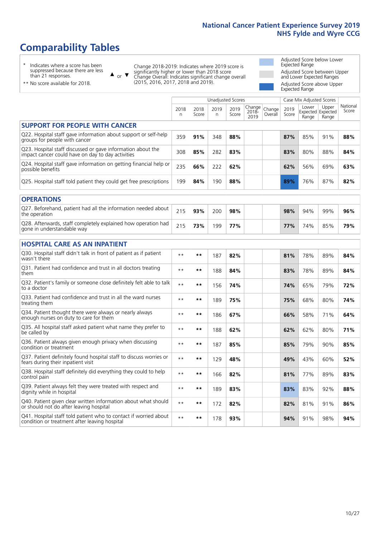# **Comparability Tables**

\* Indicates where a score has been suppressed because there are less than 21 responses.

\*\* No score available for 2018.

 $\triangle$  or  $\nabla$ 

Change 2018-2019: Indicates where 2019 score is significantly higher or lower than 2018 score Change Overall: Indicates significant change overall (2015, 2016, 2017, 2018 and 2019).

Adjusted Score below Lower Expected Range Adjusted Score between Upper and Lower Expected Ranges Adjusted Score above Upper Expected Range

|                                                                                                                   |              |               | <b>Unadjusted Scores</b> |               |                         |                   |               | Case Mix Adjusted Scores            |                |                   |
|-------------------------------------------------------------------------------------------------------------------|--------------|---------------|--------------------------|---------------|-------------------------|-------------------|---------------|-------------------------------------|----------------|-------------------|
|                                                                                                                   | 2018<br>n    | 2018<br>Score | 2019<br>n.               | 2019<br>Score | Change<br>2018-<br>2019 | Change<br>Overall | 2019<br>Score | Lower<br>Expected Expected<br>Range | Upper<br>Range | National<br>Score |
| <b>SUPPORT FOR PEOPLE WITH CANCER</b>                                                                             |              |               |                          |               |                         |                   |               |                                     |                |                   |
| Q22. Hospital staff gave information about support or self-help<br>groups for people with cancer                  | 359          | 91%           | 348                      | 88%           |                         |                   | 87%           | 85%                                 | 91%            | 88%               |
| Q23. Hospital staff discussed or gave information about the<br>impact cancer could have on day to day activities  | 308          | 85%           | 282                      | 83%           |                         |                   | 83%           | 80%                                 | 88%            | 84%               |
| Q24. Hospital staff gave information on getting financial help or<br>possible benefits                            | 235          | 66%           | 222                      | 62%           |                         |                   | 62%           | 56%                                 | 69%            | 63%               |
| Q25. Hospital staff told patient they could get free prescriptions                                                | 199          | 84%           | 190                      | 88%           |                         |                   | 89%           | 76%                                 | 87%            | 82%               |
| <b>OPERATIONS</b>                                                                                                 |              |               |                          |               |                         |                   |               |                                     |                |                   |
| Q27. Beforehand, patient had all the information needed about<br>the operation                                    | 215          | 93%           | 200                      | 98%           |                         |                   | 98%           | 94%                                 | 99%            | 96%               |
| Q28. Afterwards, staff completely explained how operation had<br>gone in understandable way                       | 215          | 73%           | 199                      | 77%           |                         |                   | 77%           | 74%                                 | 85%            | 79%               |
| <b>HOSPITAL CARE AS AN INPATIENT</b>                                                                              |              |               |                          |               |                         |                   |               |                                     |                |                   |
| Q30. Hospital staff didn't talk in front of patient as if patient<br>wasn't there                                 | $* *$        | **            | 187                      | 82%           |                         |                   | 81%           | 78%                                 | 89%            | 84%               |
| Q31. Patient had confidence and trust in all doctors treating<br>them                                             | $* *$        | $***$         | 188                      | 84%           |                         |                   | 83%           | 78%                                 | 89%            | 84%               |
| Q32. Patient's family or someone close definitely felt able to talk<br>to a doctor                                | $* *$        | $***$         | 156                      | 74%           |                         |                   | 74%           | 65%                                 | 79%            | 72%               |
| Q33. Patient had confidence and trust in all the ward nurses<br>treating them                                     | $\star\star$ | **            | 189                      | 75%           |                         |                   | 75%           | 68%                                 | 80%            | 74%               |
| Q34. Patient thought there were always or nearly always<br>enough nurses on duty to care for them                 | $* *$        | **            | 186                      | 67%           |                         |                   | 66%           | 58%                                 | 71%            | 64%               |
| Q35. All hospital staff asked patient what name they prefer to<br>be called by                                    | $* *$        | $***$         | 188                      | 62%           |                         |                   | 62%           | 62%                                 | 80%            | 71%               |
| Q36. Patient always given enough privacy when discussing<br>condition or treatment                                | $**$         | $***$         | 187                      | 85%           |                         |                   | 85%           | 79%                                 | 90%            | 85%               |
| Q37. Patient definitely found hospital staff to discuss worries or<br>fears during their inpatient visit          | $**$         | **            | 129                      | 48%           |                         |                   | 49%           | 43%                                 | 60%            | 52%               |
| Q38. Hospital staff definitely did everything they could to help<br>control pain                                  | $* *$        | $***$         | 166                      | 82%           |                         |                   | 81%           | 77%                                 | 89%            | 83%               |
| Q39. Patient always felt they were treated with respect and<br>dignity while in hospital                          | $***$        | **            | 189                      | 83%           |                         |                   | 83%           | 83%                                 | 92%            | 88%               |
| Q40. Patient given clear written information about what should<br>or should not do after leaving hospital         | $**$         | **            | 172                      | 82%           |                         |                   | 82%           | 81%                                 | 91%            | 86%               |
| Q41. Hospital staff told patient who to contact if worried about<br>condition or treatment after leaving hospital | $**$         | **            | 178                      | 93%           |                         |                   | 94%           | 91%                                 | 98%            | 94%               |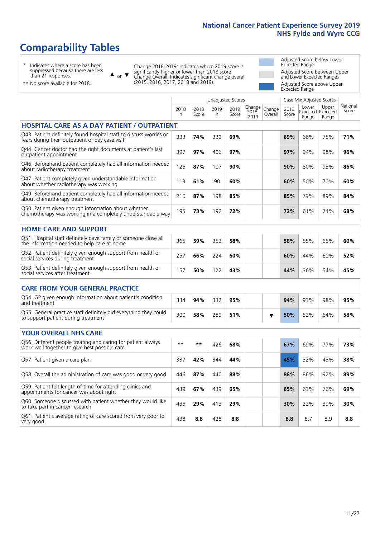Unadjusted Scores **Case Mix Adjusted Scores** 

# **Comparability Tables**

\* Indicates where a score has been suppressed because there are less than 21 responses.

 $\triangle$  or  $\nabla$ 

Change 2018-2019: Indicates where 2019 score is significantly higher or lower than 2018 score Change Overall: Indicates significant change overall (2015, 2016, 2017, 2018 and 2019).

Adjusted Score below Lower Expected Range Adjusted Score between Upper and Lower Expected Ranges Adjusted Score above Upper Expected Range

| ** No score available for 2018. |  |
|---------------------------------|--|
|                                 |  |

|                                                                                                                       | 2018<br>n | 2018<br>Score | 2019<br>n. | 2019<br>Score | Change<br>$2018 -$<br>2019 | Change<br>Overall | 2019<br>Score | Lower<br>Expected Expected<br>Range | Upper<br>Range | National<br>Score |
|-----------------------------------------------------------------------------------------------------------------------|-----------|---------------|------------|---------------|----------------------------|-------------------|---------------|-------------------------------------|----------------|-------------------|
| <b>HOSPITAL CARE AS A DAY PATIENT / OUTPATIENT</b>                                                                    |           |               |            |               |                            |                   |               |                                     |                |                   |
| Q43. Patient definitely found hospital staff to discuss worries or<br>fears during their outpatient or day case visit | 333       | 74%           | 329        | 69%           |                            |                   | 69%           | 66%                                 | 75%            | 71%               |
| Q44. Cancer doctor had the right documents at patient's last<br>outpatient appointment                                | 397       | 97%           | 406        | 97%           |                            |                   | 97%           | 94%                                 | 98%            | 96%               |
| Q46. Beforehand patient completely had all information needed<br>about radiotherapy treatment                         | 126       | 87%           | 107        | 90%           |                            |                   | 90%           | 80%                                 | 93%            | 86%               |
| Q47. Patient completely given understandable information<br>about whether radiotherapy was working                    | 113       | 61%           | 90         | 60%           |                            |                   | 60%           | 50%                                 | 70%            | 60%               |
| Q49. Beforehand patient completely had all information needed<br>about chemotherapy treatment                         | 210       | 87%           | 198        | 85%           |                            |                   | 85%           | 79%                                 | 89%            | 84%               |
| Q50. Patient given enough information about whether<br>chemotherapy was working in a completely understandable way    | 195       | 73%           | 192        | 72%           |                            |                   | 72%           | 61%                                 | 74%            | 68%               |
| <b>HOME CARE AND SUPPORT</b>                                                                                          |           |               |            |               |                            |                   |               |                                     |                |                   |
| Q51. Hospital staff definitely gave family or someone close all<br>the information needed to help care at home        | 365       | 59%           | 353        | 58%           |                            |                   | 58%           | 55%                                 | 65%            | 60%               |
| Q52. Patient definitely given enough support from health or<br>social services during treatment                       | 257       | 66%           | 224        | 60%           |                            |                   | 60%           | 44%                                 | 60%            | 52%               |
| Q53. Patient definitely given enough support from health or<br>social services after treatment                        | 157       | 50%           | 122        | 43%           |                            |                   | 44%           | 36%                                 | 54%            | 45%               |
| <b>CARE FROM YOUR GENERAL PRACTICE</b>                                                                                |           |               |            |               |                            |                   |               |                                     |                |                   |
| Q54. GP given enough information about patient's condition<br>and treatment                                           | 334       | 94%           | 332        | 95%           |                            |                   | 94%           | 93%                                 | 98%            | 95%               |
| Q55. General practice staff definitely did everything they could<br>to support patient during treatment               | 300       | 58%           | 289        | 51%           |                            | ▼                 | 50%           | 52%                                 | 64%            | 58%               |
| <b>YOUR OVERALL NHS CARE</b>                                                                                          |           |               |            |               |                            |                   |               |                                     |                |                   |
| Q56. Different people treating and caring for patient always<br>work well together to give best possible care         | $**$      | **            | 426        | 68%           |                            |                   | 67%           | 69%                                 | 77%            | 73%               |
| Q57. Patient given a care plan                                                                                        | 337       | 42%           | 344        | 44%           |                            |                   | 45%           | 32%                                 | 43%            | 38%               |
| Q58. Overall the administration of care was good or very good                                                         | 446       | 87%           | 440        | 88%           |                            |                   | 88%           | 86%                                 | 92%            | 89%               |
| Q59. Patient felt length of time for attending clinics and<br>appointments for cancer was about right                 | 439       | 67%           | 439        | 65%           |                            |                   | 65%           | 63%                                 | 76%            | 69%               |
| Q60. Someone discussed with patient whether they would like<br>to take part in cancer research                        | 435       | 29%           | 413        | 29%           |                            |                   | 30%           | 22%                                 | 39%            | 30%               |
| Q61. Patient's average rating of care scored from very poor to<br>very good                                           | 438       | 8.8           | 428        | 8.8           |                            |                   | 8.8           | 8.7                                 | 8.9            | 8.8               |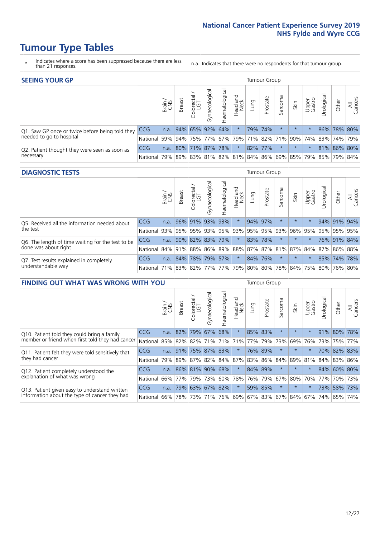- \* Indicates where a score has been suppressed because there are less than 21 responses.
- n.a. Indicates that there were no respondents for that tumour group.

| <b>SEEING YOUR GP</b>                           |            |              |                             |                  |                    |                |                  |      | Tumour Group |         |         |                 |                                                     |             |                |  |
|-------------------------------------------------|------------|--------------|-----------------------------|------------------|--------------------|----------------|------------------|------|--------------|---------|---------|-----------------|-----------------------------------------------------|-------------|----------------|--|
|                                                 |            | Brain<br>CNS | <b>Breast</b>               | olorectal<br>LGT | ᠊ᢛ<br>Gynaecologic | Haematological | Head and<br>Neck | Lung | Prostate     | Sarcoma | Skin    | Upper<br>Gastro | $\sigma$<br>Jrologica                               | Other       | All<br>Cancers |  |
| Q1. Saw GP once or twice before being told they | <b>CCG</b> |              | n.a. $ 94\% 65\% 92\% 64\%$ |                  |                    |                | $\star$          |      | 79% 74%      |         | $\star$ |                 |                                                     | 86% 78% 80% |                |  |
| needed to go to hospital<br>National            |            | 59%          |                             |                  |                    |                |                  |      |              |         |         |                 | 94% 75% 77% 67% 79% 71% 82% 71% 90% 74% 83% 74% 79% |             |                |  |
| Q2. Patient thought they were seen as soon as   | <b>CCG</b> | n.a.         |                             |                  | 80% 71% 87% 78%    |                | $\star$          |      | 82% 77%      | $\star$ | $\star$ | $\star$         |                                                     | 81% 86% 80% |                |  |
| necessary                                       | National   | 79%          |                             |                  |                    |                |                  |      |              |         |         |                 | 89% 83% 81% 82% 81% 84% 86% 69% 85% 79% 85% 79% 84% |             |                |  |

#### **DIAGNOSTIC TESTS** Tumour Group

|                                                   |                                                                  | Brain | <b>Breast</b> | Colorectal<br>LGT | $\overline{\sigma}$<br>Gynaecologic | Haematological | Head and<br>Neck | Lung | Prostate | Sarcoma | Skin    | Upper<br>Gastro | Irological  | Other       | All<br>Cancers |
|---------------------------------------------------|------------------------------------------------------------------|-------|---------------|-------------------|-------------------------------------|----------------|------------------|------|----------|---------|---------|-----------------|-------------|-------------|----------------|
| Q5. Received all the information needed about     | <b>CCG</b>                                                       | n.a.  |               | 96% 91%           |                                     | 93% 93%        | $\star$          |      | 94% 97%  |         | $\star$ | $\star$         |             | 94% 91% 94% |                |
| the test                                          | National                                                         | 93%   | 95%           | 95%               | 93%                                 |                | 95% 93% 95% 95%  |      |          | 93%     | 96%     | 95%             | 95% 95% 95% |             |                |
| Q6. The length of time waiting for the test to be | <b>CCG</b>                                                       | n.a.  |               | 90% 82%           |                                     | 83% 79%        | $\star$          |      | 83% 78%  |         | $\star$ | $\star$         |             | 76% 91% 84% |                |
| done was about right                              | National 84% 91% 88% 86% 89% 88% 87% 87% 81% 87% 84% 87% 86% 88% |       |               |                   |                                     |                |                  |      |          |         |         |                 |             |             |                |
| Q7. Test results explained in completely          | <b>CCG</b>                                                       | n.a.  | 84%           | 78%               |                                     | 79% 57%        | $\star$          |      | 84% 76%  |         | $\star$ | $\star$         |             | 85% 74% 78% |                |
| understandable way                                | National 71% 83% 82% 77% 77% 79% 80% 80% 78% 84% 75% 80% 76% 80% |       |               |                   |                                     |                |                  |      |          |         |         |                 |             |             |                |

| <b>FINDING OUT WHAT WAS WRONG WITH YOU</b>        |            |       |               |                            |                |               |                  |                     |          | <b>Tumour Group</b> |         |                 |             |             |                |  |
|---------------------------------------------------|------------|-------|---------------|----------------------------|----------------|---------------|------------------|---------------------|----------|---------------------|---------|-----------------|-------------|-------------|----------------|--|
|                                                   |            | Brain | <b>Breast</b> | ╮<br>olorectal<br>LGT<br>Ū | Gynaecological | Haematologica | Head and<br>Neck | Lung                | Prostate | Sarcoma             | Skin    | Upper<br>Gastro | Jrologica   | Other       | All<br>Cancers |  |
| Q10. Patient told they could bring a family       | <b>CCG</b> | n.a.  | 82%           | 79%                        | 67%            | 68%           | $\star$          | 85%                 | 83%      | $\star$             | $\star$ | $\star$         |             | 91% 80%     | 78%            |  |
| member or friend when first told they had cancer  | National   | 85%   | 82%           | 82%                        |                | 71% 71%       | 71%              | 77%                 | 79%      | 73%                 | 69%     | 76%             | 73%         | 75%         | 77%            |  |
| Q11. Patient felt they were told sensitively that | <b>CCG</b> | n.a.  | 91%           | 75%                        | 87%            | 83%           | $\ast$           | 76%                 | 89%      | $\ast$              | $\star$ | $\star$         |             | 70% 82% 83% |                |  |
| they had cancer                                   | National   | 79%   |               | 89% 87%                    |                |               |                  | 82% 84% 87% 83% 86% |          | 84%                 | 89%     | 81%             | 84% 83% 86% |             |                |  |
| Q12. Patient completely understood the            | <b>CCG</b> | n.a.  |               | 86% 81%                    | 90%            | 68%           | $\star$          | 84% 89%             |          | $\ast$              | $\star$ | $\star$         |             | 84% 60% 80% |                |  |
| explanation of what was wrong<br>National         |            | 66%   | 77%           | 79%                        |                | 73% 60%       | 78%              |                     | 76% 79%  | 67%                 | 80%     | 70%             | 77%         | 70% 73%     |                |  |
| Q13. Patient given easy to understand written     | CCG        | n.a.  |               | 79% 63%                    | 67%            | 82%           | $\star$          |                     | 59% 85%  | $\star$             | $\star$ | $\star$         | 73%         | 58%         | 73%            |  |
| information about the type of cancer they had     | National   | 66%   | 78%           | 73%                        |                | 71% 76%       |                  | 69% 67% 83%         |          | 67%                 | 84%     |                 | 67% 74%     | 65%         | 74%            |  |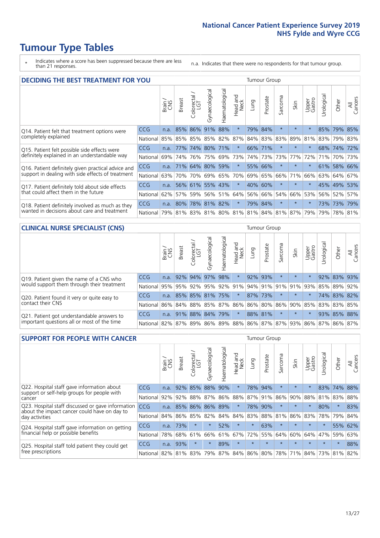- \* Indicates where a score has been suppressed because there are less than 21 responses.
- n.a. Indicates that there were no respondents for that tumour group.

| <b>DECIDING THE BEST TREATMENT FOR YOU</b>           |            | <b>Tumour Group</b> |               |            |                       |                |                         |      |          |                                             |         |                 |            |             |                |
|------------------------------------------------------|------------|---------------------|---------------|------------|-----------------------|----------------|-------------------------|------|----------|---------------------------------------------|---------|-----------------|------------|-------------|----------------|
|                                                      |            | Brain               | <b>Breast</b> | Colorectal | Gynaecological        | Haematological | ead and<br>Neck<br>Head | Lung | Prostate | arcoma<br>vĀ                                | Skin    | Upper<br>Gastro | Jrological | Other       | All<br>Cancers |
| CCG<br>Q14. Patient felt that treatment options were |            |                     | 85%           | 86%        | 91%                   | 88%            | $\star$                 | 79%  | 84%      | $\star$                                     | $\star$ | $\star$         | 85%        | 79%         | 85%            |
| completely explained<br>National                     |            | 85%                 |               |            | 85%   85%   85%   82% |                | 87%                     |      | 84% 83%  | 83%                                         | 89%     | 81%             |            | 83% 79% 83% |                |
| Q15. Patient felt possible side effects were         | <b>CCG</b> | n.a.                | 77%           | 74%        | 80%                   | 71%            | $\ast$                  |      | 66% 71%  | $^\star$                                    |         | $\star$         |            | 68% 74%     | 72%            |
| definitely explained in an understandable way        | National   | 69%                 | 74%           | 76%        |                       | 75% 69%        | 73%                     |      | 74% 73%  | 73%                                         | 77%     | 72%             | 71%        | 70% 73%     |                |
| Q16. Patient definitely given practical advice and   | <b>CCG</b> | n.a.                | 71%           | 64%        | 80%                   | 59%            | $\star$                 |      | 55% 66%  | $\star$                                     | $\star$ | $\star$         |            | 61% 58% 66% |                |
| support in dealing with side effects of treatment    | National   | 63%                 | 70%           | 70%        |                       | 69% 65%        | 70%                     |      | 69% 65%  | 66%                                         | 71%     | 66%             | 63%        | $64\%$      | 67%            |
| Q17. Patient definitely told about side effects      | <b>CCG</b> | n.a.                | 56%           | 61%        |                       | 55% 43%        | $\star$                 | 40%  | 60%      | $\star$                                     | $\star$ | $\star$         |            | 45% 49%     | 53%            |
| that could affect them in the future<br>National     |            | 62%                 | 57%           | 59%        |                       | 56% 51%        | 64%                     |      | 56% 66%  | 54%                                         | 66%     | 53%             |            | 56% 52%     | 57%            |
| Q18. Patient definitely involved as much as they     | <b>CCG</b> | n.a.                | 80%           |            | 78% 81% 82%           |                | $\star$                 | 79%  | 84%      | $\star$                                     | $\star$ | $\star$         |            | 73% 73%     | 79%            |
| wanted in decisions about care and treatment         | National   |                     |               |            |                       |                |                         |      |          | 79% 81% 83% 81% 80% 81% 81% 84% 81% 87% 79% |         |                 |            | 79% 78% 81% |                |

#### **CLINICAL NURSE SPECIALIST (CNS)** Tumour Group

|                                             |          | Brain | <b>Breast</b> | olorectal<br>LGT<br>$\cup$ | aecologica<br>ĞŘ | $\overline{\sigma}$<br>Ü<br>aematologi | Head and<br>Neck | Lung    | Prostate | Sarcoma | Skin    | Upper<br>Gastro                                     | $\sigma$<br>rologica | Other       | All<br>ancers<br>$\cup$ |
|---------------------------------------------|----------|-------|---------------|----------------------------|------------------|----------------------------------------|------------------|---------|----------|---------|---------|-----------------------------------------------------|----------------------|-------------|-------------------------|
| Q19. Patient given the name of a CNS who    | CCG      | n.a.  |               |                            | 92% 94% 97%      | 98%                                    | $^\star$         | 92% 93% |          | $\star$ | $\star$ |                                                     |                      | 92% 83% 93% |                         |
| would support them through their treatment  | National |       |               |                            |                  |                                        |                  |         |          |         |         | 95% 95% 92% 95% 92% 91% 94% 91% 91% 91% 91% 93%     | 85%                  | 89%         | 92%                     |
| Q20. Patient found it very or quite easy to | CCG      | n.a.  |               |                            | 85% 85% 81% 75%  |                                        | $\star$          | 87% 73% |          | $\ast$  | $\star$ | $\star$                                             |                      | 74% 83% 82% |                         |
| contact their CNS                           | National |       |               |                            |                  |                                        |                  |         |          |         |         | 86% 84% 88% 85% 87% 86% 86% 80% 86% 90% 85%         |                      | 83% 83%     | 85%                     |
| Q21. Patient got understandable answers to  | CCG      | n.a.  |               | 91% 88% 84%                |                  | 79%                                    | $\star$          | 88% 81% |          | $\star$ | $\star$ | $\star$                                             |                      | 93% 85%     | 88%                     |
| important questions all or most of the time | National |       |               |                            | 82% 87% 89% 86%  |                                        |                  |         |          |         |         | 89%   88%   86%   87%   87%   93%   86%   87%   86% |                      |             | 87%                     |

| <b>SUPPORT FOR PEOPLE WITH CANCER</b>                                                             |            |      |               |            |                |                |                         |          | <b>Tumour Group</b> |         |         |                 |            |         |                |  |  |  |
|---------------------------------------------------------------------------------------------------|------------|------|---------------|------------|----------------|----------------|-------------------------|----------|---------------------|---------|---------|-----------------|------------|---------|----------------|--|--|--|
|                                                                                                   |            |      | <b>Breast</b> | Colorectal | Gynaecological | Haematological | ead and<br>Neck<br>Head | Lung     | Prostate            | Sarcoma | Skin    | Upper<br>Gastro | Irological | Other   | All<br>Cancers |  |  |  |
| Q22. Hospital staff gave information about<br>support or self-help groups for people with         | CCG.       | n.a. | 92%           | 85%        | 88%            | 90%            | $\star$                 | 78%      | 94%                 | $\star$ | $\star$ | $\star$         | 83%        | 74%     | 88%            |  |  |  |
| cancer                                                                                            | National   | 92%  | 92%           | 88%        | 87%            | 86%            | 88%                     |          | 87% 91%             | 86%     | 90%     | 88%             | 81%        | 83%     | 88%            |  |  |  |
| Q23. Hospital staff discussed or gave information<br>about the impact cancer could have on day to | <b>CCG</b> | n.a. | 85%           | 86%        | 86%            | 89%            | $\star$                 | 78%      | 90%                 | $\star$ | $\star$ | $\star$         | 80%        | $\star$ | 83%            |  |  |  |
| day activities                                                                                    | National   | 84%  | 86%           | 85%        | 82%            | 84%            | 84%                     | 83%      | 88%                 | 81%     | 86%     | 83%             | 78%        | 79%     | 84%            |  |  |  |
| Q24. Hospital staff gave information on getting                                                   | CCG.       | n.a. | 73%           |            | $\star$        | 52%            | $\ast$                  | $^\star$ | 63%                 | $\star$ | $\star$ | $\star$         | $\star$    | 55%     | 62%            |  |  |  |
| financial help or possible benefits                                                               | National   | 78%  | 68%           | 61%        | 66%            | 61%            | 67%                     | 72%      | 55%                 | 64%     | 60%     | 64%             | 47%        | 59%     | 63%            |  |  |  |
| <b>CCG</b><br>Q25. Hospital staff told patient they could get                                     |            | n.a. | 93%           |            | $\star$        | 89%            | $\star$                 | $\star$  | $\star$             | $\star$ | $\star$ | $\star$         | $\star$    | $\ast$  | 88%            |  |  |  |
| free prescriptions<br>National I                                                                  |            | 82%  | 81% 83%       |            | 79%            |                | 87% 84% 86% 80%         |          |                     | 78%     | 71%     | $84\%$          |            | 73% 81% | 82%            |  |  |  |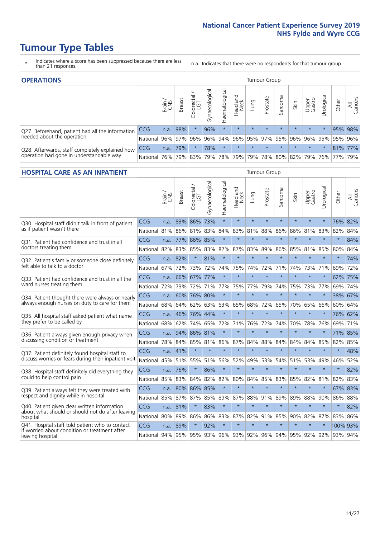- \* Indicates where a score has been suppressed because there are less than 21 responses.
- n.a. Indicates that there were no respondents for that tumour group.

| <b>OPERATIONS</b>                                |            |       |               |            |                   |                |                                                 |             |          | Tumour Group |                     |                 |                                  |           |                |  |  |  |
|--------------------------------------------------|------------|-------|---------------|------------|-------------------|----------------|-------------------------------------------------|-------------|----------|--------------|---------------------|-----------------|----------------------------------|-----------|----------------|--|--|--|
|                                                  |            | Brain | <b>Breast</b> | Colorectal | ক<br>Gynaecologic | Haematological | Head and<br>Neck                                | <b>Dung</b> | Prostate | Sarcoma      | Skin                | Upper<br>Gastro | $\overline{\sigma}$<br>Jrologica | Other     | All<br>Cancers |  |  |  |
| Q27. Beforehand, patient had all the information | CCG        | n.a.  | 98%           |            | 96%               |                | $\star$                                         | $\star$     | $\star$  | $\star$      | $\star$             | $\star$         |                                  | 95%       | 98%            |  |  |  |
| needed about the operation                       | National   | 96%   |               | 97% 96%    |                   |                | 96% 94% 96% 95% 97% 95% 96% 96% 95% 95% 95% 96% |             |          |              |                     |                 |                                  |           |                |  |  |  |
| Q28. Afterwards, staff completely explained how  | <b>CCG</b> | n.a.  | 79%           |            | 78%               | $\star$        | $\star$                                         | $\star$     | $\star$  | $\star$      | $\star$             | $\star$         |                                  | 81% 77%   |                |  |  |  |
| operation had gone in understandable way         | National   | 76%   |               | 79% 83%    |                   |                | 79%   78%   79%                                 |             |          |              | 79% 78% 80% 82% 79% |                 |                                  | 76%   77% | 79%            |  |  |  |

#### **HOSPITAL CARE AS AN INPATIENT** Tumour Group

|                                                                                                  |          | Brain | <b>Breast</b> | Colorectal /<br>LGT | Gynaecological  | Haematological | Head and<br>Neck | Lung    | Prostate | Sarcoma | Skin    | Upper<br>Gastro | Urological          | Other    | Cancers<br>$\overline{\overline{z}}$ |
|--------------------------------------------------------------------------------------------------|----------|-------|---------------|---------------------|-----------------|----------------|------------------|---------|----------|---------|---------|-----------------|---------------------|----------|--------------------------------------|
| Q30. Hospital staff didn't talk in front of patient                                              | CCG      | n.a.  | 83%           | 86%                 | 73%             | $\star$        | $\star$          | $\star$ | $\star$  | $\star$ | $\star$ | $\star$         | $\star$             | 76%      | 82%                                  |
| as if patient wasn't there                                                                       | National | 81%   | 86%           | 81%                 | 83%             | 84%            | 83%              | 81%     | 88%      | 86%     | 86%     | 81%             | 83%                 | 82%      | 84%                                  |
| O31. Patient had confidence and trust in all                                                     | CCG      | n.a.  | 77%           | 86% 85%             |                 | $\star$        | $\star$          | $\star$ | $\star$  | $\star$ | $\star$ | $\star$         | $\star$             | $\star$  | 84%                                  |
| doctors treating them                                                                            | National | 82%   | 83%           | 85%                 | 83%             | 82%            | 87%              | 83%     | 89%      | 86%     | 85%     | 81%             | 85%                 | 80%      | 84%                                  |
| Q32. Patient's family or someone close definitely                                                | CCG      | n.a.  | 82%           |                     | 81%             | $\star$        | $\star$          | $\star$ | $\star$  | $\star$ | $\star$ | $\star$         | $\star$             | $\star$  | 74%                                  |
| felt able to talk to a doctor                                                                    | National | 67%   | 72%           | 73%                 | 72%             | 74%            | 75%              | 74%     | 72%      | 71%     | 74%     | 73%             | 71%                 | 69%      | 72%                                  |
| Q33. Patient had confidence and trust in all the                                                 | CCG      | n.a.  | 66%           | 67%                 | 77%             | $\star$        | $\star$          | $\star$ | $\star$  | $\star$ | $\star$ | $\star$         | $\star$             | 62%      | 75%                                  |
| ward nurses treating them                                                                        | National | 72%   | 73%           | 72%                 |                 | 71% 77%        | 75%              | 77%     | 79%      | 74%     | 75%     |                 | 73% 77%             | 69%      | 74%                                  |
| Q34. Patient thought there were always or nearly                                                 | CCG      | n.a.  |               | 60% 76% 80%         |                 | $\star$        | $\star$          | $\star$ | $\star$  | $\star$ | $\star$ |                 | $\star$             | 38%      | 67%                                  |
| always enough nurses on duty to care for them                                                    | National | 68%   | 64%           | 62%                 | 63%             | 63%            |                  | 65% 68% | 72%      | 65%     |         | 70% 65% 66%     |                     | 60% 64%  |                                      |
| Q35. All hospital staff asked patient what name                                                  | CCG      | n.a.  |               | 46% 76% 44%         |                 | $\star$        | $\star$          | $\star$ | $\star$  | $\star$ | $\star$ | $\star$         | $\star$             | 76% 62%  |                                      |
| they prefer to be called by                                                                      | National | 68%   | 62%           | 74%                 | 65%             | 72%            | 71%              | 76%     | 72%      | 74%     | 70%     | 78%             | 76%                 | 69%      | 71%                                  |
| Q36. Patient always given enough privacy when                                                    | CCG      | n.a.  | 94%           | 86% 81%             |                 | $\star$        | $\star$          | $\star$ | $\star$  | $\star$ | $\star$ |                 | $\star$             | 71% 85%  |                                      |
| discussing condition or treatment                                                                | National | 78%   |               | 84% 85% 81%         |                 | 86%            |                  | 87% 84% | 88%      | 84%     | 84%     | 84%             | 85%                 | 82% 85%  |                                      |
| Q37. Patient definitely found hospital staff to                                                  | CCG      | n.a.  | 41%           | $\star$             | $\star$         | $\star$        | $\star$          | $\star$ | $\star$  | $\star$ | $\star$ | $\star$         | $\star$             | $\star$  | 48%                                  |
| discuss worries or fears during their inpatient visit                                            | National | 45%   | 51%           | 55%                 | 51%             | 56%            | 52%              | 49%     | 53%      | 54%     | 51%     | 53%             | 49%                 | 46%      | 52%                                  |
| Q38. Hospital staff definitely did everything they                                               | CCG      | n.a.  | 76%           | $\star$             | 86%             | $\star$        | $\star$          | $\star$ | $\star$  | $\star$ | $\star$ | $\star$         | $\star$             | $\star$  | 82%                                  |
| could to help control pain                                                                       | National | 85%   | 83%           | 84%                 | 82%             | 82%            | 80%              | 84%     | 85%      | 83%     | 85%     | 82%             | 81%                 | 82%      | 83%                                  |
| Q39. Patient always felt they were treated with                                                  | CCG      | n.a.  |               | 80% 86% 85%         |                 | $\star$        | $\star$          | $\star$ | $\star$  | $\star$ | $\star$ | $\star$         | $\star$             | 67%      | 83%                                  |
| respect and dignity while in hospital                                                            | National | 85%   | 87%           | 87%                 | 85%             | 89%            | 87%              | 88%     | 91%      | 89%     | 89%     | 88%             | 90%                 | 86%      | 88%                                  |
| Q40. Patient given clear written information<br>about what should or should not do after leaving | CCG      | n.a.  | 81%           |                     | 83%             | $\star$        | $\star$          | $\star$ | $\star$  | $\star$ | $\star$ | $\star$         | $\star$             | $\star$  | 82%                                  |
| hospital                                                                                         | National | 80%   | 89%           | 86%                 | 86%             | 83%            |                  | 87% 82% | 91%      | 85%     | 90%     | 82%             | 87%                 | 83%      | 86%                                  |
| Q41. Hospital staff told patient who to contact<br>if worried about condition or treatment after | CCG      | n.a.  | 89%           | $\star$             | 92%             | $\star$        | $\star$          | $\star$ | $\star$  | $\star$ | $\star$ | $\star$         | $\star$             | 100% 93% |                                      |
| leaving hospital                                                                                 | National | 94%   |               |                     | 95% 95% 93% 96% |                |                  | 93% 92% |          |         |         |                 | 96% 94% 95% 92% 92% | 93% 94%  |                                      |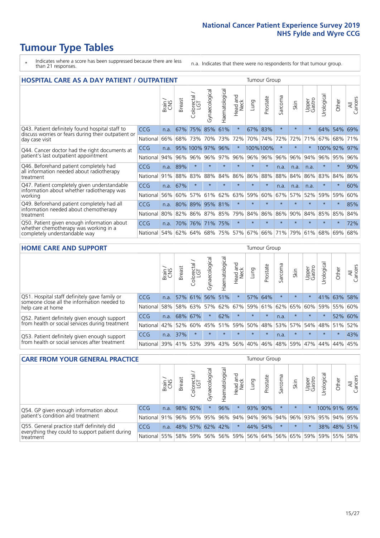- \* Indicates where a score has been suppressed because there are less than 21 responses.
- n.a. Indicates that there were no respondents for that tumour group.

| <b>HOSPITAL CARE AS A DAY PATIENT / OUTPATIENT</b><br><b>Tumour Group</b> |            |       |               |                        |                |                |                         |             |          |         |         |                 |            |         |                |
|---------------------------------------------------------------------------|------------|-------|---------------|------------------------|----------------|----------------|-------------------------|-------------|----------|---------|---------|-----------------|------------|---------|----------------|
|                                                                           |            | Brain | <b>Breast</b> | olorectal,<br>LGT<br>Û | Gynaecological | Haematological | aad and<br>Neck<br>Head | Lung        | Prostate | Sarcoma | Skin    | Upper<br>Gastro | Urological | Other   | All<br>Cancers |
| Q43. Patient definitely found hospital staff to                           | <b>CCG</b> | n.a.  | 67%           | 75%                    | 85%            | 61%            | $\star$                 | 67%         | 83%      | $\star$ | $\star$ | $\star$         | 64%        | 54%     | 69%            |
| discuss worries or fears during their outpatient or<br>day case visit     | National   | 66%   | 68%           | 73%                    | 70%            | 73%            | 72%                     | 70%         | 74%      | 72%     | 72%     | 71%             | 67%        | 68%     | 71%            |
| Q44. Cancer doctor had the right documents at                             | CCG        | n.a.  |               | 95% 100% 97%           |                | 96%            | $\ast$                  |             | 100%100% | $\ast$  |         |                 | 100% 92%   |         | 97%            |
| patient's last outpatient appointment                                     | National   | 94%   | 96%           | 96%                    | 96%            | 97%            | 96%                     | 96%         | 96%      | 96%     | 96%     | 94%             | 96%        | 95%     | 96%            |
| Q46. Beforehand patient completely had                                    | <b>CCG</b> | n.a.  | 89%           | $\star$                | $\star$        |                | $\star$                 | $\star$     | $\star$  | n.a.    | n.a.    | n.a.            | $\star$    | $\star$ | 90%            |
| all information needed about radiotherapy<br>treatment                    | National   | 91%   | 88%           | 83%                    | 88%            | 84%            | 86%                     | 86%         | 88%      | 88%     | 84%     | 86%             | 83%        | 84%     | 86%            |
| Q47. Patient completely given understandable                              | <b>CCG</b> | n.a.  | 67%           | $\star$                |                |                | $\star$                 | $\star$     | $\star$  | n.a.    | n.a.    | n.a.            | $\star$    | $\ast$  | 60%            |
| information about whether radiotherapy was<br>working                     | National   | 56%   | 60%           | 57%                    | 61%            | 62%            | 63%                     | 59%         | 60%      | 67%     | 57%     | 52%             | 59%        | 59%     | 60%            |
| Q49. Beforehand patient completely had all                                | <b>CCG</b> | n.a.  | 80%           |                        | 89% 95% 81%    |                | $\star$                 | $\star$     | $\star$  | $\star$ | $\star$ | $\star$         | $\star$    | $\ast$  | 85%            |
| information needed about chemotherapy<br>treatment                        | National   | 80%   | 82%           | 86%                    | 87%            | 85%            | 79%                     | 84%         | 86%      | 86%     | 90%     | 84%             | 85%        | 85%     | 84%            |
| Q50. Patient given enough information about                               | <b>CCG</b> | n.a.  | 70%           | 76%                    | 71%            | 75%            | $\star$                 | $\star$     | $\star$  | $\star$ |         |                 |            | $\star$ | 72%            |
| whether chemotherapy was working in a<br>completely understandable way    | National   | 54%   |               | 62% 64%                |                | 68% 75%        |                         | 57% 67% 66% |          | 71%     | 79%     | 61%             | 68%        | 69%     | 68%            |

#### **HOME CARE AND SUPPORT** Tumour Group

|                                                                                              |              | Brain | Breast  | Colorectal<br>LGT | $\sigma$<br>Gynaecologic | Haematological | Head and<br>Neck | <b>Lung</b>         | Prostate | Sarcoma | Skin    | Upper<br>Gastro | rological   | Other   | All<br>Cancers |
|----------------------------------------------------------------------------------------------|--------------|-------|---------|-------------------|--------------------------|----------------|------------------|---------------------|----------|---------|---------|-----------------|-------------|---------|----------------|
| Q51. Hospital staff definitely gave family or<br>someone close all the information needed to | <b>CCG</b>   | n.a.  |         | 57% 61%           |                          | 56% 51%        | $\star$          |                     | 57% 64%  |         | $\star$ | $\star$         |             | 41% 63% | 58%            |
| help care at home                                                                            | National     | 58%   |         | 58% 63%           |                          |                |                  | 57% 62% 67% 59% 61% |          |         | 62% 65% | 60% 59% 55%     |             |         | 60%            |
| Q52. Patient definitely given enough support                                                 | <b>CCG</b>   | n.a.  | 68% 67% |                   | $\star$                  | 62%            | $\star$          | $\star$             | $\star$  | n.a.    | $\star$ | $\star$         |             | 52% 60% |                |
| from health or social services during treatment                                              | National     | 42%   | 52%     | 60%               |                          | 45% 51%        | 59%              | 50%                 | 48%      |         | 53% 57% |                 | 54% 48% 51% |         | 52%            |
| Q53. Patient definitely given enough support                                                 | <b>CCG</b>   | n.a.  | 37%     |                   |                          |                | $\star$          | $\star$             | $\star$  | n.a.    |         | $\star$         | $\star$     | $\star$ | 43%            |
| from health or social services after treatment                                               | National 39% |       | 41% 53% |                   | 39%                      | $ 43\% $       | 56%              | 40%                 | 46%      |         | 48% 59% | 47%             | 44%         | 44%     | 45%            |

| <b>CARE FROM YOUR GENERAL PRACTICE</b>                                                        |              |        |               |                        |                 |                |                                         | <b>Tumour Group</b> |          |         |         |                 |                                         |             |                |  |
|-----------------------------------------------------------------------------------------------|--------------|--------|---------------|------------------------|-----------------|----------------|-----------------------------------------|---------------------|----------|---------|---------|-----------------|-----------------------------------------|-------------|----------------|--|
|                                                                                               |              | Brain, | <b>Breast</b> | ╮<br>Colorectal<br>LGT | Gynaecologica   | Haematological | Head and<br>Neck                        | Lung                | Prostate | Sarcoma | Skin    | Upper<br>Gastro | $\sigma$<br>Urologic                    | Other       | All<br>Cancers |  |
| Q54. GP given enough information about                                                        | CCG          | n.a.   |               | 98% 92%                |                 | 96%            | $\ast$                                  |                     | 93% 90%  | $\star$ | $\star$ | $\star$         | 100% 91% 95%                            |             |                |  |
| patient's condition and treatment                                                             | National 91% |        |               |                        | 96% 95% 95%     |                |                                         |                     |          |         |         |                 | 96% 94% 94% 96% 94% 96% 93% 95% 94% 95% |             |                |  |
| Q55. General practice staff definitely did<br>everything they could to support patient during | <b>CCG</b>   | n.a.   |               |                        | 48% 57% 62% 42% |                | $\star$                                 |                     | 44% 54%  |         | $\star$ |                 |                                         | 38% 48% 51% |                |  |
| treatment                                                                                     | National 55% |        |               |                        |                 |                | 58% 59% 56% 56% 59% 56% 64% 56% 65% 59% |                     |          |         |         |                 |                                         | 59% 55% 58% |                |  |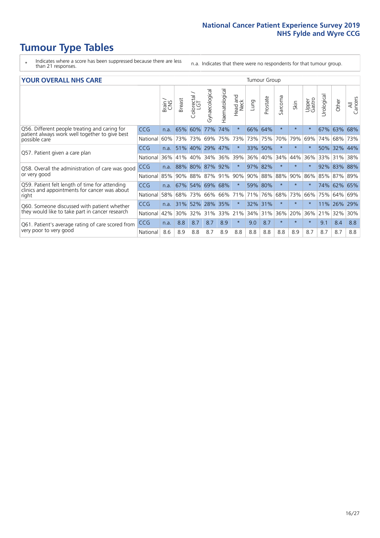- \* Indicates where a score has been suppressed because there are less than 21 responses.
- n.a. Indicates that there were no respondents for that tumour group.

#### **YOUR OVERALL NHS CARE** THE TWO CONTROLLER THE THE THROUP CHANGE THE TUMOUR GROUP

| <u>UUN UTENTEE ITIIJ GANE</u>                                                                   |            |       |               |                       |                |                |                                 |         |          |                      |          |                 |                            |         |                |
|-------------------------------------------------------------------------------------------------|------------|-------|---------------|-----------------------|----------------|----------------|---------------------------------|---------|----------|----------------------|----------|-----------------|----------------------------|---------|----------------|
|                                                                                                 |            | Brain | <b>Breast</b> | olorectal<br>LGT<br>Û | Gynaecological | Haematological | <b>Bad and<br/>Neck</b><br>Head | Lung    | Prostate | arcoma<br>$\sqrt{ }$ | Skin     | Upper<br>Gastro | $\overline{c}$<br>Urologia | Other   | All<br>Cancers |
| Q56. Different people treating and caring for<br>patient always work well together to give best | <b>CCG</b> | n.a.  | 65%           | 60%                   | 77%            | 74%            | $\star$                         | 66%     | 64%      | $\star$              | $\star$  | $\star$         | 67%                        | 63%     | 68%            |
| possible care                                                                                   | National   | 60%   |               | 73% 73%               | 69%            | 75%            | 73%                             |         | 73% 75%  | 70%                  | 79%      | 69%             | 74%                        | 68%     | 73%            |
| Q57. Patient given a care plan                                                                  | CCG        | n.a.  | 51%           | 40%                   | 29% 47%        |                | $\star$                         | 33% 50% |          | $\star$              | $\star$  | $\star$         | 50%                        | 32% 44% |                |
|                                                                                                 | National   | 36%   | 41%           | 40%                   | 34%            | 36%            | 39%                             | 36%     | 40%      | 34%                  | 44%      | 36%             | 33%                        | 31%     | 38%            |
| Q58. Overall the administration of care was good                                                | <b>CCG</b> | n.a.  | 88%           | 80%                   | 87% 92%        |                | $\star$                         | 97% 82% |          | $\star$              | $^\star$ |                 | 92%                        | 83%     | 88%            |
| or very good                                                                                    | National   | 85%   | $90\%$        | 88%                   | 87% 91%        |                | 90%                             | 90%     | 88%      | 88%                  | 90%      | 86%             | 85%                        | 87% 89% |                |
| Q59. Patient felt length of time for attending<br>clinics and appointments for cancer was about | CCG        | n.a.  |               | 67% 54%               | 69% 68%        |                | $\star$                         | 59% 80% |          | $\star$              | $\star$  | $\star$         | 74%                        | 62% 65% |                |
| right                                                                                           | National   | 58%   | 68%           | 73%                   | 66%            | 66%            | 71%                             | 71%     | 76%      | 68%                  | 73%      | 66%             | 75%                        | 64%     | 69%            |
| Q60. Someone discussed with patient whether                                                     | <b>CCG</b> | n.a.  | 31%           | 52%                   | 28%            | 35%            | $\star$                         | 32% 31% |          | $\star$              | $\star$  |                 | 11%                        | 26%     | 29%            |
| they would like to take part in cancer research                                                 | National   | 42%   | 30%           | 32%                   | 31%            | 33%            | 21%                             | 34%     | 31%      | 36%                  | 20%      | 36%             | 21%                        | 32%     | 30%            |
| Q61. Patient's average rating of care scored from                                               | CCG        | n.a.  | 8.8           | 8.7                   | 8.7            | 8.9            | $\star$                         | 9.0     | 8.7      | $\star$              | $^\star$ | $\star$         | 9.1                        | 8.4     | 8.8            |
| very poor to very good                                                                          | National   | 8.6   | 8.9           | 8.8                   | 8.7            | 8.9            | 8.8                             | 8.8     | 8.8      | 8.8                  | 8.9      | 8.7             | 8.7                        | 8.7     | 8.8            |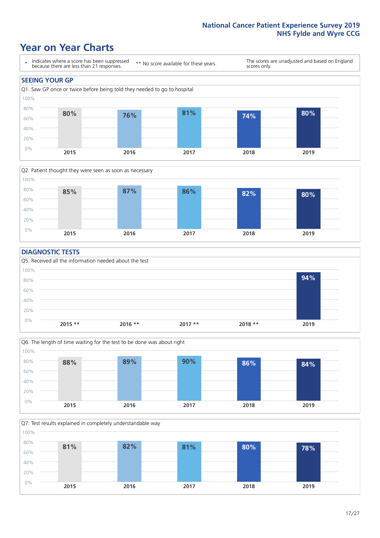### **Year on Year Charts**





#### **DIAGNOSTIC TESTS**





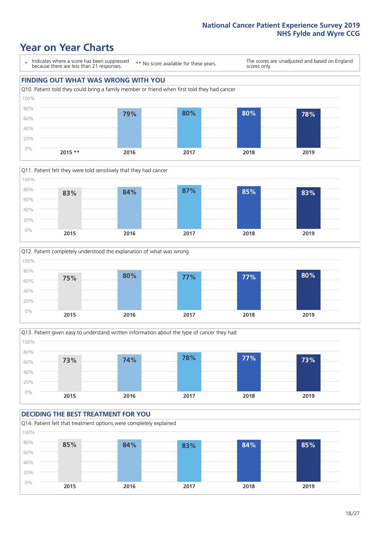







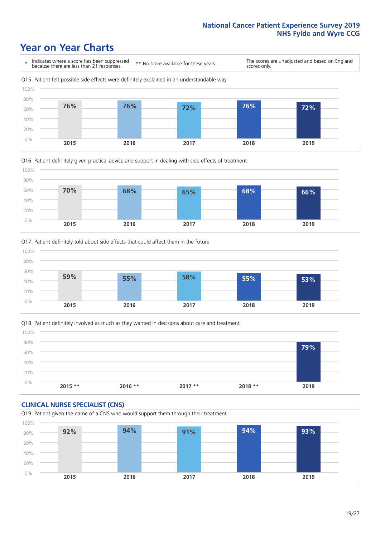







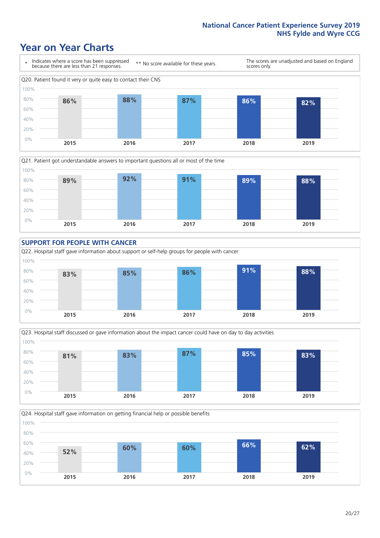







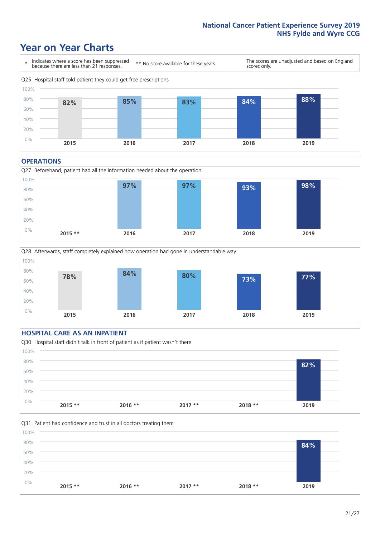### **Year on Year Charts**



#### **OPERATIONS**





### **HOSPITAL CARE AS AN INPATIENT**



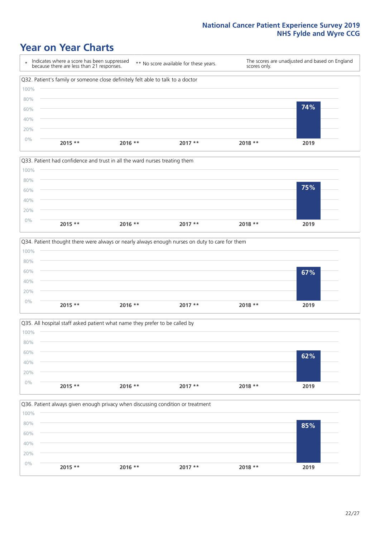







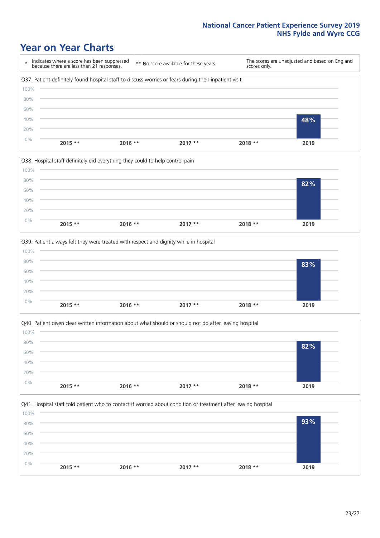







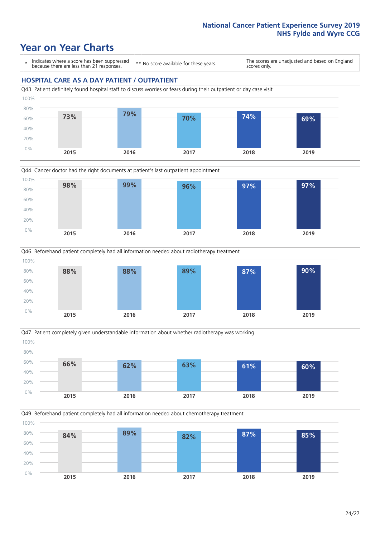### **Year on Year Charts**

\* Indicates where a score has been suppressed because there are less than 21 responses.

\*\* No score available for these years.

The scores are unadjusted and based on England scores only.

#### **HOSPITAL CARE AS A DAY PATIENT / OUTPATIENT**









Q49. Beforehand patient completely had all information needed about chemotherapy treatment 0% 20% 40% 60% 80% 100% **2015 2016 2017 2018 2019 84% 89% 82% 87% 85%**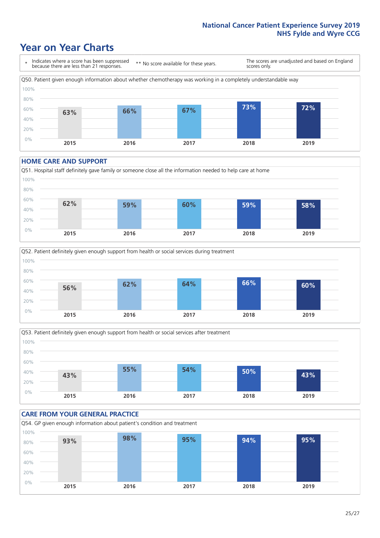### **Year on Year Charts**

\* Indicates where a score has been suppressed because there are less than 21 responses. \*\* No score available for these years. The scores are unadjusted and based on England scores only. Q50. Patient given enough information about whether chemotherapy was working in a completely understandable way 0% 20% 40% 60% 80% 100% **2015 2016 2017 2018 2019 63% 66% 67% 73% 72%**

#### **HOME CARE AND SUPPORT**







#### **CARE FROM YOUR GENERAL PRACTICE** Q54. GP given enough information about patient's condition and treatment 0% 20% 40% 60% 80% 100% **2015 2016 2017 2018 2019 93% 98% 95% 94% 95%**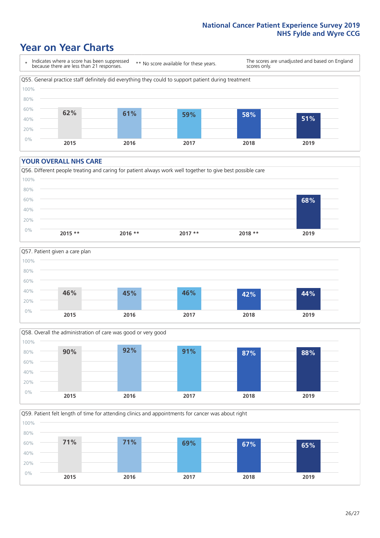### **Year on Year Charts**

\* Indicates where a score has been suppressed because there are less than 21 responses.

\*\* No score available for these years.

The scores are unadjusted and based on England scores only.



#### **YOUR OVERALL NHS CARE**







Q59. Patient felt length of time for attending clinics and appointments for cancer was about right